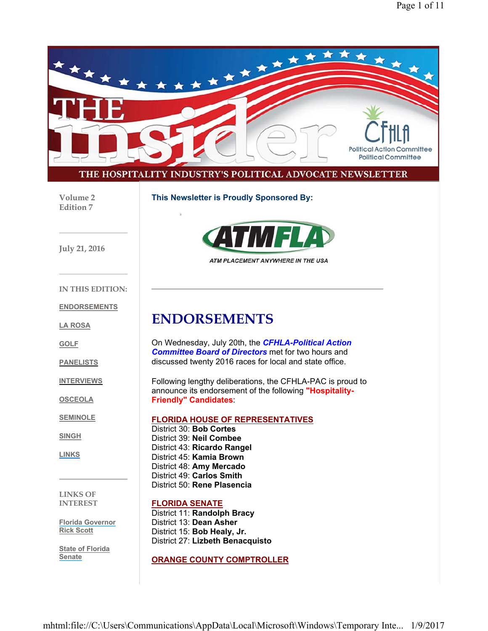

**Volume 2 Edition 7**

**This Newsletter is Proudly Sponsored By:**





ATM PLACEMENT ANYWHERE IN THE USA

**IN THIS EDITION:**

**ENDORSEMENTS**

**LA ROSA**

**GOLF**

**PANELISTS**

**INTERVIEWS**

**OSCEOLA**

**SEMINOLE**

**SINGH**

**LINKS**

**LINKS OF INTEREST**

**Florida Governor Rick Scott**

**State of Florida Senate**

**ENDORSEMENTS**

On Wednesday, July 20th, the *CFHLA-Political Action Committee Board of Directors* met for two hours and discussed twenty 2016 races for local and state office.

Following lengthy deliberations, the CFHLA-PAC is proud to announce its endorsement of the following **"Hospitality-Friendly" Candidates**:

**FLORIDA HOUSE OF REPRESENTATIVES**

District 30: **Bob Cortes** District 39: **Neil Combee** District 43: **Ricardo Rangel** District 45: **Kamia Brown** District 48: **Amy Mercado** District 49: **Carlos Smith** District 50: **Rene Plasencia**

#### **FLORIDA SENATE**

District 11: **Randolph Bracy** District 13: **Dean Asher** District 15: **Bob Healy, Jr.** District 27: **Lizbeth Benacquisto**

**ORANGE COUNTY COMPTROLLER**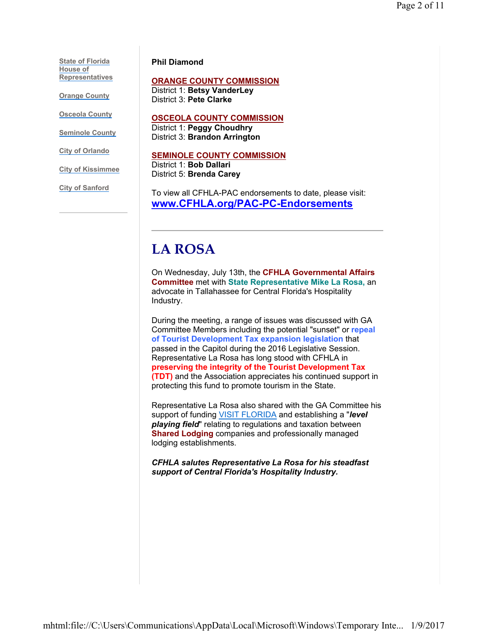**State of Florida House of Representatives**

**Orange County**

**Osceola County**

**Seminole County**

**City of Orlando**

**City of Kissimmee**

**City of Sanford**

#### **Phil Diamond**

#### **ORANGE COUNTY COMMISSION**

District 1: **Betsy VanderLey** District 3: **Pete Clarke**

#### **OSCEOLA COUNTY COMMISSION**

District 1: **Peggy Choudhry** District 3: **Brandon Arrington**

#### **SEMINOLE COUNTY COMMISSION**

District 1: **Bob Dallari** District 5: **Brenda Carey**

To view all CFHLA-PAC endorsements to date, please visit: **www.CFHLA.org/PAC-PC-Endorsements**

## **LA ROSA**

On Wednesday, July 13th, the **CFHLA Governmental Affairs Committee** met with **State Representative Mike La Rosa,** an advocate in Tallahassee for Central Florida's Hospitality Industry.

During the meeting, a range of issues was discussed with GA Committee Members including the potential "sunset" or **repeal of Tourist Development Tax expansion legislation** that passed in the Capitol during the 2016 Legislative Session. Representative La Rosa has long stood with CFHLA in **preserving the integrity of the Tourist Development Tax (TDT)** and the Association appreciates his continued support in protecting this fund to promote tourism in the State.

Representative La Rosa also shared with the GA Committee his support of funding VISIT FLORIDA and establishing a "*level playing field*" relating to regulations and taxation between **Shared Lodging** companies and professionally managed lodging establishments.

*CFHLA salutes Representative La Rosa for his steadfast support of Central Florida's Hospitality Industry.*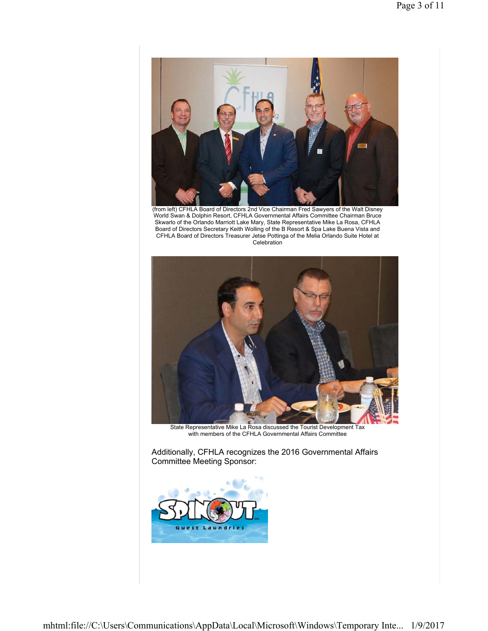

(from left) CFHLA Board of Directors 2nd Vice Chairman Fred Sawyers of the Walt Disney World Swan & Dolphin Resort, CFHLA Governmental Affairs Committee Chairman Bruce Skwarlo of the Orlando Marriott Lake Mary, State Representative Mike La Rosa, CFHLA Board of Directors Secretary Keith Wolling of the B Resort & Spa Lake Buena Vista and CFHLA Board of Directors Treasurer Jetse Pottinga of the Melia Orlando Suite Hotel at Celebration



State Representative Mike La Rosa discussed the Tourist Development Tax with members of the CFHLA Governmental Affairs Committee

Additionally, CFHLA recognizes the 2016 Governmental Affairs Committee Meeting Sponsor:

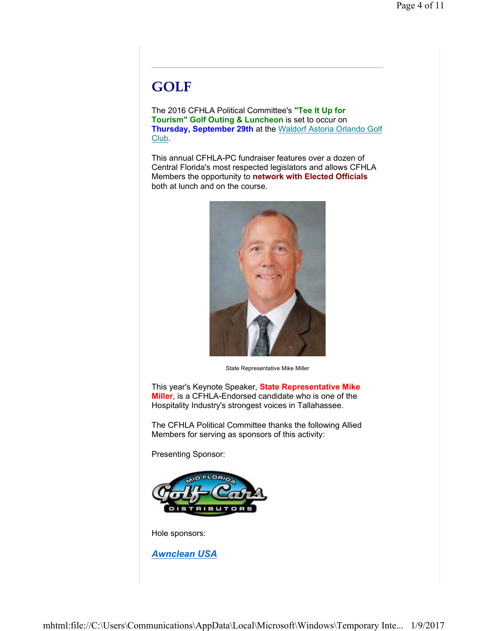## **GOLF**

The 2016 CFHLA Political Committee's **"Tee It Up for Tourism" Golf Outing & Luncheon** is set to occur on **Thursday, September 29th** at the Waldorf Astoria Orlando Golf Club.

This annual CFHLA-PC fundraiser features over a dozen of Central Florida's most respected legislators and allows CFHLA Members the opportunity to **network with Elected Officials** both at lunch and on the course.



State Representative Mike Miller

This year's Keynote Speaker, **State Representative Mike Miller**, is a CFHLA-Endorsed candidate who is one of the Hospitality Industry's strongest voices in Tallahassee.

The CFHLA Political Committee thanks the following Allied Members for serving as sponsors of this activity:

Presenting Sponsor:



Hole sponsors:

*Awnclean USA*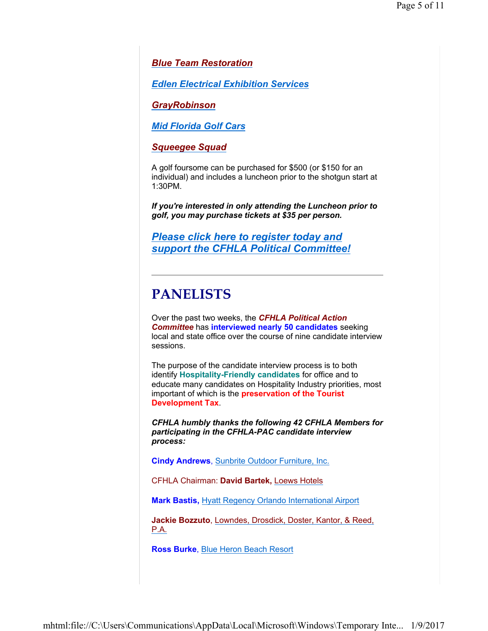*Blue Team Restoration*

*Edlen Electrical Exhibition Services*

*GrayRobinson*

*Mid Florida Golf Cars*

*Squeegee Squad*

A golf foursome can be purchased for \$500 (or \$150 for an individual) and includes a luncheon prior to the shotgun start at 1:30PM.

*If you're interested in only attending the Luncheon prior to golf, you may purchase tickets at \$35 per person.*

*Please click here to register today and support the CFHLA Political Committee!*

### **PANELISTS**

Over the past two weeks, the *CFHLA Political Action Committee* has **interviewed nearly 50 candidates** seeking local and state office over the course of nine candidate interview sessions.

The purpose of the candidate interview process is to both identify **Hospitality-Friendly candidates** for office and to educate many candidates on Hospitality Industry priorities, most important of which is the **preservation of the Tourist Development Tax**.

*CFHLA humbly thanks the following 42 CFHLA Members for participating in the CFHLA-PAC candidate interview process:*

**Cindy Andrews**, Sunbrite Outdoor Furniture, Inc.

CFHLA Chairman: **David Bartek,** Loews Hotels

**Mark Bastis,** Hyatt Regency Orlando International Airport

**Jackie Bozzuto**, Lowndes, Drosdick, Doster, Kantor, & Reed, P.A.

**Ross Burke**, Blue Heron Beach Resort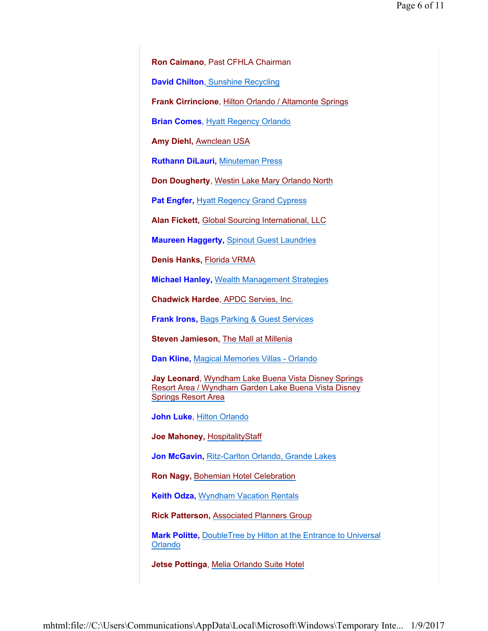**Ron Caimano**, Past CFHLA Chairman

**David Chilton**, Sunshine Recycling

**Frank Cirrincione**, Hilton Orlando / Altamonte Springs

**Brian Comes**, Hyatt Regency Orlando

**Amy Diehl,** Awnclean USA

**Ruthann DiLauri,** Minuteman Press

**Don Dougherty**, Westin Lake Mary Orlando North

**Pat Engfer, Hyatt Regency Grand Cypress** 

**Alan Fickett,** Global Sourcing International, LLC

**Maureen Haggerty,** Spinout Guest Laundries

**Denis Hanks,** Florida VRMA

**Michael Hanley,** Wealth Management Strategies

**Chadwick Hardee**, APDC Servies, Inc.

**Frank Irons,** Bags Parking & Guest Services

**Steven Jamieson,** The Mall at Millenia

**Dan Kline,** Magical Memories Villas - Orlando

**Jay Leonard**, Wyndham Lake Buena Vista Disney Springs Resort Area / Wyndham Garden Lake Buena Vista Disney Springs Resort Area

**John Luke**, Hilton Orlando

**Joe Mahoney,** HospitalityStaff

**Jon McGavin,** Ritz-Carlton Orlando, Grande Lakes

**Ron Nagy,** Bohemian Hotel Celebration

**Keith Odza,** Wyndham Vacation Rentals

**Rick Patterson,** Associated Planners Group

**Mark Politte,** DoubleTree by Hilton at the Entrance to Universal Orlando

**Jetse Pottinga**, Melia Orlando Suite Hotel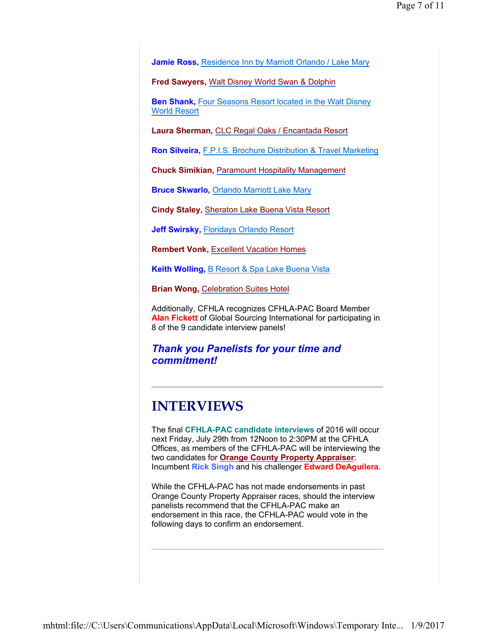**Jamie Ross,** Residence Inn by Marriott Orlando / Lake Mary

**Fred Sawyers,** Walt Disney World Swan & Dolphin

**Ben Shank,** Four Seasons Resort located in the Walt Disney World Resort

**Laura Sherman,** CLC Regal Oaks / Encantada Resort

**Ron Silveira,** F.P.I.S. Brochure Distribution & Travel Marketing

**Chuck Simikian,** Paramount Hospitality Management

**Bruce Skwarlo,** Orlando Marriott Lake Mary

**Cindy Staley,** Sheraton Lake Buena Vista Resort

**Jeff Swirsky,** Floridays Orlando Resort

**Rembert Vonk,** Excellent Vacation Homes

**Keith Wolling,** B Resort & Spa Lake Buena Vista

**Brian Wong,** Celebration Suites Hotel

Additionally, CFHLA recognizes CFHLA-PAC Board Member **Alan Fickett** of Global Sourcing International for participating in 8 of the 9 candidate interview panels!

### *Thank you Panelists for your time and commitment!*

### **INTERVIEWS**

The final **CFHLA-PAC candidate interviews** of 2016 will occur next Friday, July 29th from 12Noon to 2:30PM at the CFHLA Offices, as members of the CFHLA-PAC will be interviewing the two candidates for **Orange County Property Appraiser**: Incumbent **Rick Singh** and his challenger **Edward DeAguilera**.

While the CFHLA-PAC has not made endorsements in past Orange County Property Appraiser races, should the interview panelists recommend that the CFHLA-PAC make an endorsement in this race, the CFHLA-PAC would vote in the following days to confirm an endorsement.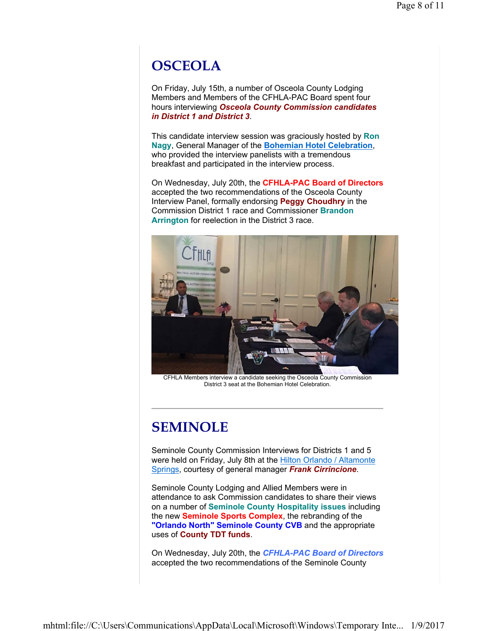## **OSCEOLA**

On Friday, July 15th, a number of Osceola County Lodging Members and Members of the CFHLA-PAC Board spent four hours interviewing *Osceola County Commission candidates in District 1 and District 3*.

This candidate interview session was graciously hosted by **Ron Nagy**, General Manager of the **Bohemian Hotel Celebration**, who provided the interview panelists with a tremendous breakfast and participated in the interview process.

On Wednesday, July 20th, the **CFHLA-PAC Board of Directors** accepted the two recommendations of the Osceola County Interview Panel, formally endorsing **Peggy Choudhry** in the Commission District 1 race and Commissioner **Brandon Arrington** for reelection in the District 3 race.



CFHLA Members interview a candidate seeking the Osceola County Commission District 3 seat at the Bohemian Hotel Celebration.

## **SEMINOLE**

Seminole County Commission Interviews for Districts 1 and 5 were held on Friday, July 8th at the Hilton Orlando / Altamonte Springs, courtesy of general manager *Frank Cirrincione*.

Seminole County Lodging and Allied Members were in attendance to ask Commission candidates to share their views on a number of **Seminole County Hospitality issues** including the new **Seminole Sports Complex**, the rebranding of the **"Orlando North" Seminole County CVB** and the appropriate uses of **County TDT funds**.

On Wednesday, July 20th, the *CFHLA-PAC Board of Directors* accepted the two recommendations of the Seminole County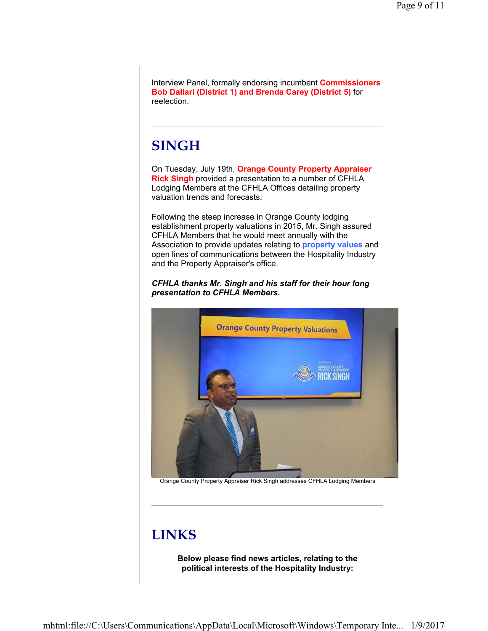Interview Panel, formally endorsing incumbent **Commissioners Bob Dallari (District 1) and Brenda Carey (District 5)** for reelection.

## **SINGH**

On Tuesday, July 19th, **Orange County Property Appraiser Rick Singh** provided a presentation to a number of CFHLA Lodging Members at the CFHLA Offices detailing property valuation trends and forecasts.

Following the steep increase in Orange County lodging establishment property valuations in 2015, Mr. Singh assured CFHLA Members that he would meet annually with the Association to provide updates relating to **property values** and open lines of communications between the Hospitality Industry and the Property Appraiser's office.

### *CFHLA thanks Mr. Singh and his staff for their hour long presentation to CFHLA Members.*



Orange County Property Appraiser Rick Singh addresses CFHLA Lodging Members

# **LINKS**

**Below please find news articles, relating to the political interests of the Hospitality Industry:**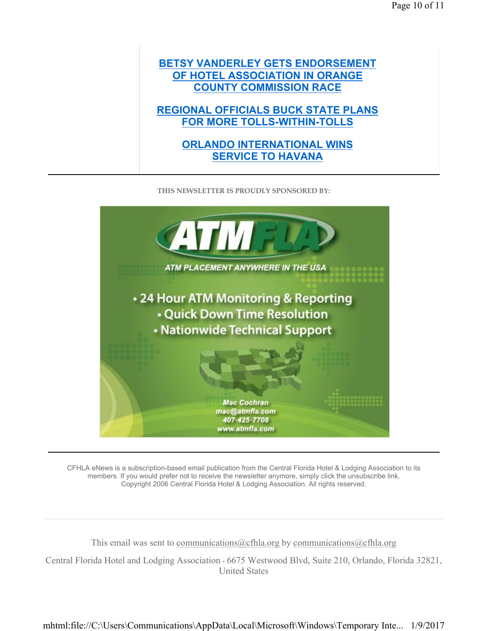### **BETSY VANDERLEY GETS ENDORSEMENT OF HOTEL ASSOCIATION IN ORANGE COUNTY COMMISSION RACE**

**REGIONAL OFFICIALS BUCK STATE PLANS FOR MORE TOLLS-WITHIN-TOLLS**

### **ORLANDO INTERNATIONAL WINS SERVICE TO HAVANA**

**THIS NEWSLETTER IS PROUDLY SPONSORED BY:**



CFHLA eNews is a subscription-based email publication from the Central Florida Hotel & Lodging Association to its members. If you would prefer not to receive the newsletter anymore, simply click the unsubscribe link. Copyright 2006 Central Florida Hotel & Lodging Association. All rights reserved.

This email was sent to communications  $@cfh$  a.org by communications  $@cfh$  a.org

Central Florida Hotel and Lodging Association • 6675 Westwood Blvd, Suite 210, Orlando, Florida 32821, United States